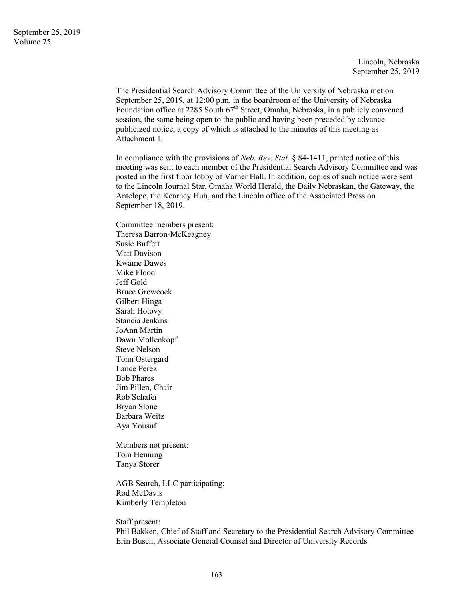Lincoln, Nebraska September 25, 2019

The Presidential Search Advisory Committee of the University of Nebraska met on September 25, 2019, at 12:00 p.m. in the boardroom of the University of Nebraska Foundation office at 2285 South 67<sup>th</sup> Street, Omaha, Nebraska, in a publicly convened session, the same being open to the public and having been preceded by advance publicized notice, a copy of which is attached to the minutes of this meeting as Attachment 1.

In compliance with the provisions of *Neb. Rev. Stat.* § 84-1411, printed notice of this meeting was sent to each member of the Presidential Search Advisory Committee and was posted in the first floor lobby of Varner Hall. In addition, copies of such notice were sent to the Lincoln Journal Star, Omaha World Herald, the Daily Nebraskan, the Gateway, the Antelope, the Kearney Hub, and the Lincoln office of the Associated Press on September 18, 2019.

Committee members present: Theresa Barron-McKeagney Susie Buffett Matt Davison Kwame Dawes Mike Flood Jeff Gold Bruce Grewcock Gilbert Hinga Sarah Hotovy Stancia Jenkins JoAnn Martin Dawn Mollenkopf Steve Nelson Tonn Ostergard Lance Perez Bob Phares Jim Pillen, Chair Rob Schafer Bryan Slone Barbara Weitz Aya Yousuf

Members not present: Tom Henning Tanya Storer

AGB Search, LLC participating: Rod McDavis Kimberly Templeton

Staff present:

Phil Bakken, Chief of Staff and Secretary to the Presidential Search Advisory Committee Erin Busch, Associate General Counsel and Director of University Records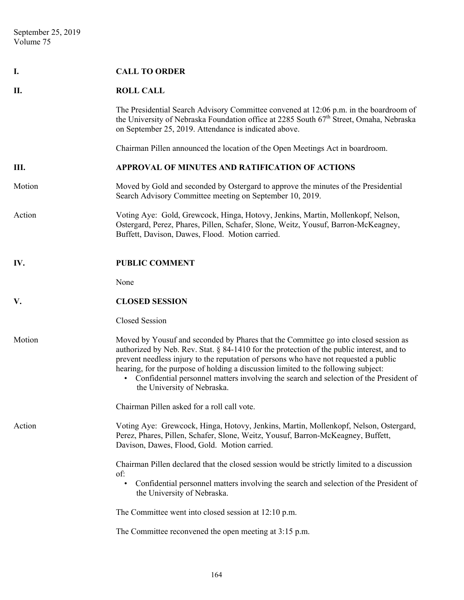| Ι.     | <b>CALL TO ORDER</b>                                                                                                                                                                                                                                                                                                                                                                                                                                                                     |
|--------|------------------------------------------------------------------------------------------------------------------------------------------------------------------------------------------------------------------------------------------------------------------------------------------------------------------------------------------------------------------------------------------------------------------------------------------------------------------------------------------|
| П.     | <b>ROLL CALL</b>                                                                                                                                                                                                                                                                                                                                                                                                                                                                         |
|        | The Presidential Search Advisory Committee convened at 12:06 p.m. in the boardroom of<br>the University of Nebraska Foundation office at 2285 South 67 <sup>th</sup> Street, Omaha, Nebraska<br>on September 25, 2019. Attendance is indicated above.                                                                                                                                                                                                                                    |
|        | Chairman Pillen announced the location of the Open Meetings Act in boardroom.                                                                                                                                                                                                                                                                                                                                                                                                            |
| Ш.     | APPROVAL OF MINUTES AND RATIFICATION OF ACTIONS                                                                                                                                                                                                                                                                                                                                                                                                                                          |
| Motion | Moved by Gold and seconded by Ostergard to approve the minutes of the Presidential<br>Search Advisory Committee meeting on September 10, 2019.                                                                                                                                                                                                                                                                                                                                           |
| Action | Voting Aye: Gold, Grewcock, Hinga, Hotovy, Jenkins, Martin, Mollenkopf, Nelson,<br>Ostergard, Perez, Phares, Pillen, Schafer, Slone, Weitz, Yousuf, Barron-McKeagney,<br>Buffett, Davison, Dawes, Flood. Motion carried.                                                                                                                                                                                                                                                                 |
| IV.    | <b>PUBLIC COMMENT</b>                                                                                                                                                                                                                                                                                                                                                                                                                                                                    |
|        | None                                                                                                                                                                                                                                                                                                                                                                                                                                                                                     |
| V.     | <b>CLOSED SESSION</b>                                                                                                                                                                                                                                                                                                                                                                                                                                                                    |
|        | Closed Session                                                                                                                                                                                                                                                                                                                                                                                                                                                                           |
| Motion | Moved by Yousuf and seconded by Phares that the Committee go into closed session as<br>authorized by Neb. Rev. Stat. § 84-1410 for the protection of the public interest, and to<br>prevent needless injury to the reputation of persons who have not requested a public<br>hearing, for the purpose of holding a discussion limited to the following subject:<br>• Confidential personnel matters involving the search and selection of the President of<br>the University of Nebraska. |
|        | Chairman Pillen asked for a roll call vote.                                                                                                                                                                                                                                                                                                                                                                                                                                              |
| Action | Voting Aye: Grewcock, Hinga, Hotovy, Jenkins, Martin, Mollenkopf, Nelson, Ostergard,<br>Perez, Phares, Pillen, Schafer, Slone, Weitz, Yousuf, Barron-McKeagney, Buffett,<br>Davison, Dawes, Flood, Gold. Motion carried.                                                                                                                                                                                                                                                                 |
|        | Chairman Pillen declared that the closed session would be strictly limited to a discussion<br>of:<br>Confidential personnel matters involving the search and selection of the President of<br>the University of Nebraska.                                                                                                                                                                                                                                                                |
|        | The Committee went into closed session at 12:10 p.m.                                                                                                                                                                                                                                                                                                                                                                                                                                     |
|        | The Committee reconvened the open meeting at 3:15 p.m.                                                                                                                                                                                                                                                                                                                                                                                                                                   |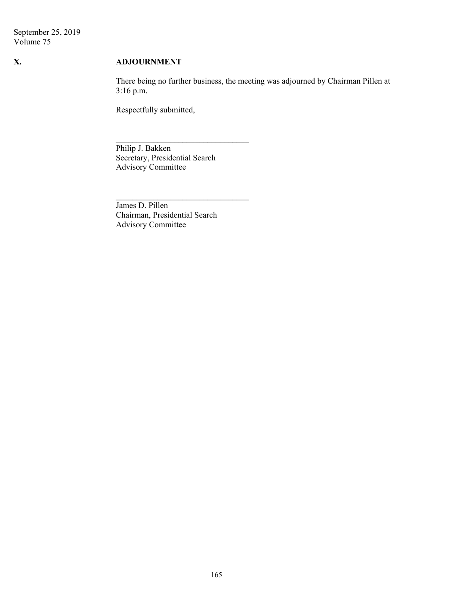September 25, 2019 Volume 75

## **X. ADJOURNMENT**

 There being no further business, the meeting was adjourned by Chairman Pillen at 3:16 p.m.

Respectfully submitted,

Philip J. Bakken Secretary, Presidential Search Advisory Committee

James D. Pillen Chairman, Presidential Search Advisory Committee

 $\mathcal{L}_\text{max}$